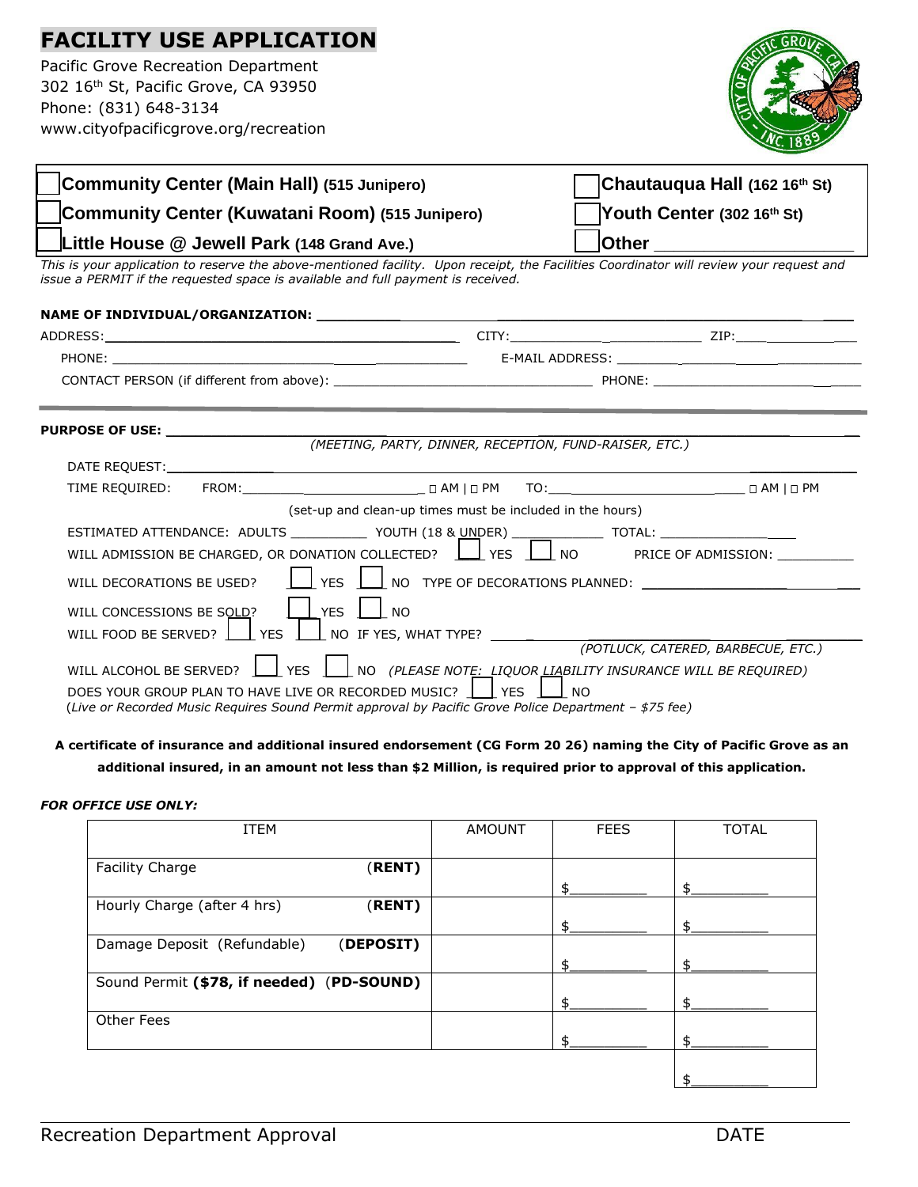# **FACILITY USE APPLICATION**

Pacific Grove Recreation Department 302 16th St, Pacific Grove, CA 93950 Phone: (831) 648-3134 www.cityofpacificgrove.org/recreation



| Community Center (Main Hall) (515 Junipero)                                                                                                                                                                                    | Chautauqua Hall (162 16th St)                             |  |  |  |  |
|--------------------------------------------------------------------------------------------------------------------------------------------------------------------------------------------------------------------------------|-----------------------------------------------------------|--|--|--|--|
| Community Center (Kuwatani Room) (515 Junipero)                                                                                                                                                                                | Youth Center (302 16th St)                                |  |  |  |  |
| ⊥ittle House @ Jewell Park (148 Grand Ave.)<br><u> Other ___________________</u>                                                                                                                                               |                                                           |  |  |  |  |
| This is your application to reserve the above-mentioned facility. Upon receipt, the Facilities Coordinator will review your request and<br>issue a PERMIT if the requested space is available and full payment is received.    |                                                           |  |  |  |  |
|                                                                                                                                                                                                                                |                                                           |  |  |  |  |
|                                                                                                                                                                                                                                |                                                           |  |  |  |  |
|                                                                                                                                                                                                                                |                                                           |  |  |  |  |
|                                                                                                                                                                                                                                |                                                           |  |  |  |  |
|                                                                                                                                                                                                                                |                                                           |  |  |  |  |
| PURPOSE OF USE: the contract of the contract of the contract of the contract of the contract of the contract of the contract of the contract of the contract of the contract of the contract of the contract of the contract o |                                                           |  |  |  |  |
|                                                                                                                                                                                                                                | (MEETING, PARTY, DINNER, RECEPTION, FUND-RAISER, ETC.)    |  |  |  |  |
|                                                                                                                                                                                                                                |                                                           |  |  |  |  |
|                                                                                                                                                                                                                                |                                                           |  |  |  |  |
|                                                                                                                                                                                                                                | (set-up and clean-up times must be included in the hours) |  |  |  |  |
| FSTIMATED ATTENDANCE: ADULTS VOLUTH (18 & LINDER) [TOTAL:                                                                                                                                                                      |                                                           |  |  |  |  |

## **A certificate of insurance and additional insured endorsement (CG Form 20 26) naming the City of Pacific Grove as an additional insured, in an amount not less than \$2 Million, is required prior to approval of this application.**

## *FOR OFFICE USE ONLY:*

| <b>ITEM</b>                               |           | <b>AMOUNT</b> | <b>FEES</b> | <b>TOTAL</b> |
|-------------------------------------------|-----------|---------------|-------------|--------------|
| Facility Charge                           | (RENT)    |               |             |              |
|                                           |           |               |             |              |
| Hourly Charge (after 4 hrs)               | (RENT)    |               |             |              |
|                                           |           |               |             | \$           |
| Damage Deposit (Refundable)               | (DEPOSIT) |               |             |              |
|                                           |           |               |             |              |
| Sound Permit (\$78, if needed) (PD-SOUND) |           |               |             |              |
|                                           |           |               |             |              |
| Other Fees                                |           |               |             |              |
|                                           |           |               |             |              |
|                                           |           |               |             |              |
|                                           |           |               |             |              |